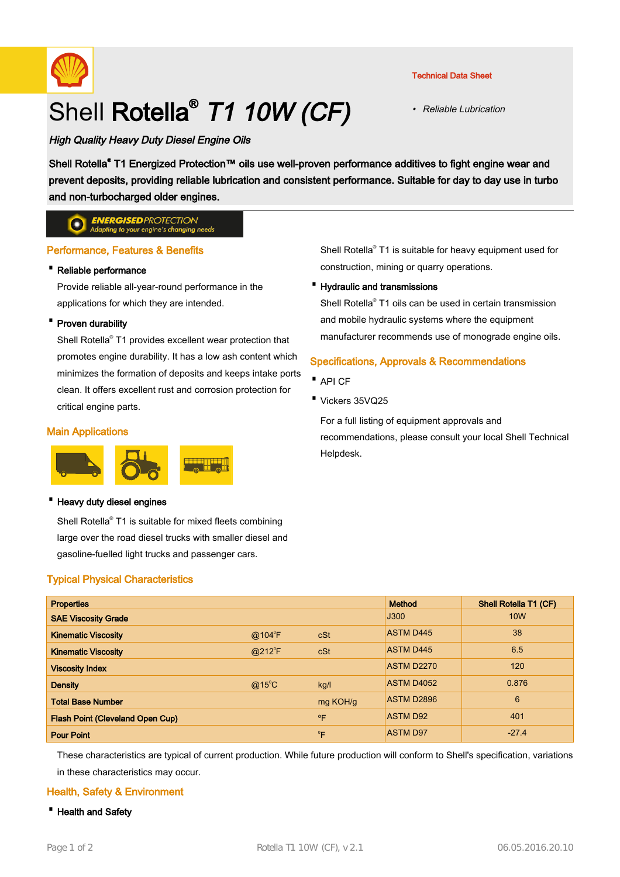

# Shell Rotella<sup>®</sup> T1 10W (CF)

#### Technical Data Sheet

• Reliable Lubrication

# High Quality Heavy Duty Diesel Engine Oils

Shell Rotella® T1 Energized Protection™ oils use well-proven performance additives to fight engine wear and prevent deposits, providing reliable lubrication and consistent performance. Suitable for day to day use in turbo and non-turbocharged older engines.

#### **ENERGISED PROTECTION**  $\bullet$ oting to your engine's changing needs

# Performance, Features & Benefits

### · Reliable performance

Provide reliable all-year-round performance in the applications for which they are intended.

# · Proven durability

Shell Rotella® T1 provides excellent wear protection that promotes engine durability. It has a low ash content which minimizes the formation of deposits and keeps intake ports clean. It offers excellent rust and corrosion protection for critical engine parts.

# Main Applications



#### · Heavy duty diesel engines

Shell Rotella® T1 is suitable for mixed fleets combining large over the road diesel trucks with smaller diesel and gasoline-fuelled light trucks and passenger cars.

# Typical Physical Characteristics

Shell Rotella® T1 is suitable for heavy equipment used for construction, mining or quarry operations.

### · Hydraulic and transmissions

Shell Rotella® T1 oils can be used in certain transmission and mobile hydraulic systems where the equipment manufacturer recommends use of monograde engine oils.

# Specifications, Approvals & Recommendations

- · API CF
- · Vickers 35VQ25

For a full listing of equipment approvals and recommendations, please consult your local Shell Technical Helpdesk.

| <b>Properties</b>                       |                 |              | <b>Method</b>     | <b>Shell Rotella T1 (CF)</b> |
|-----------------------------------------|-----------------|--------------|-------------------|------------------------------|
| <b>SAE Viscosity Grade</b>              |                 |              | J300              | <b>10W</b>                   |
| <b>Kinematic Viscosity</b>              | $@104^{\circ}F$ | cSt          | <b>ASTM D445</b>  | 38                           |
| <b>Kinematic Viscosity</b>              | $@212^{\circ}F$ | cSt          | <b>ASTM D445</b>  | 6.5                          |
| <b>Viscosity Index</b>                  |                 |              | <b>ASTM D2270</b> | 120                          |
| <b>Density</b>                          | $@15^{\circ}$ C | kq/l         | <b>ASTM D4052</b> | 0.876                        |
| <b>Total Base Number</b>                |                 | mg KOH/g     | <b>ASTM D2896</b> | 6                            |
| <b>Flash Point (Cleveland Open Cup)</b> |                 | $^{\circ}$ F | <b>ASTM D92</b>   | 401                          |
| <b>Pour Point</b>                       |                 | $^0$ F       | <b>ASTM D97</b>   | $-27.4$                      |

These characteristics are typical of current production. While future production will conform to Shell's specification, variations in these characteristics may occur.

# Health, Safety & Environment

· Health and Safety